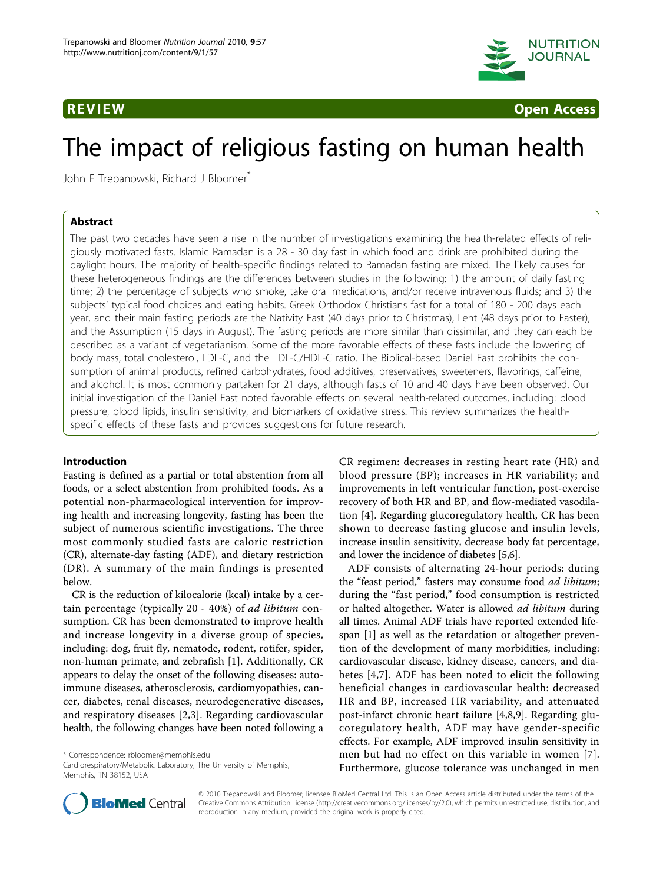



# The impact of religious fasting on human health

John F Trepanowski, Richard J Bloomer<sup>\*</sup>

# Abstract

The past two decades have seen a rise in the number of investigations examining the health-related effects of religiously motivated fasts. Islamic Ramadan is a 28 - 30 day fast in which food and drink are prohibited during the daylight hours. The majority of health-specific findings related to Ramadan fasting are mixed. The likely causes for these heterogeneous findings are the differences between studies in the following: 1) the amount of daily fasting time; 2) the percentage of subjects who smoke, take oral medications, and/or receive intravenous fluids; and 3) the subjects' typical food choices and eating habits. Greek Orthodox Christians fast for a total of 180 - 200 days each year, and their main fasting periods are the Nativity Fast (40 days prior to Christmas), Lent (48 days prior to Easter), and the Assumption (15 days in August). The fasting periods are more similar than dissimilar, and they can each be described as a variant of vegetarianism. Some of the more favorable effects of these fasts include the lowering of body mass, total cholesterol, LDL-C, and the LDL-C/HDL-C ratio. The Biblical-based Daniel Fast prohibits the consumption of animal products, refined carbohydrates, food additives, preservatives, sweeteners, flavorings, caffeine, and alcohol. It is most commonly partaken for 21 days, although fasts of 10 and 40 days have been observed. Our initial investigation of the Daniel Fast noted favorable effects on several health-related outcomes, including: blood pressure, blood lipids, insulin sensitivity, and biomarkers of oxidative stress. This review summarizes the healthspecific effects of these fasts and provides suggestions for future research.

# Introduction

Fasting is defined as a partial or total abstention from all foods, or a select abstention from prohibited foods. As a potential non-pharmacological intervention for improving health and increasing longevity, fasting has been the subject of numerous scientific investigations. The three most commonly studied fasts are caloric restriction (CR), alternate-day fasting (ADF), and dietary restriction (DR). A summary of the main findings is presented below.

CR is the reduction of kilocalorie (kcal) intake by a certain percentage (typically 20 - 40%) of ad libitum consumption. CR has been demonstrated to improve health and increase longevity in a diverse group of species, including: dog, fruit fly, nematode, rodent, rotifer, spider, non-human primate, and zebrafish [[1\]](#page-6-0). Additionally, CR appears to delay the onset of the following diseases: autoimmune diseases, atherosclerosis, cardiomyopathies, cancer, diabetes, renal diseases, neurodegenerative diseases, and respiratory diseases [[2,](#page-6-0)[3](#page-7-0)]. Regarding cardiovascular health, the following changes have been noted following a

\* Correspondence: [rbloomer@memphis.edu](mailto:rbloomer@memphis.edu)

Cardiorespiratory/Metabolic Laboratory, The University of Memphis, Memphis, TN 38152, USA

CR regimen: decreases in resting heart rate (HR) and blood pressure (BP); increases in HR variability; and improvements in left ventricular function, post-exercise recovery of both HR and BP, and flow-mediated vasodilation [[4\]](#page-7-0). Regarding glucoregulatory health, CR has been shown to decrease fasting glucose and insulin levels, increase insulin sensitivity, decrease body fat percentage, and lower the incidence of diabetes [[5,6](#page-7-0)].

ADF consists of alternating 24-hour periods: during the "feast period," fasters may consume food *ad libitum*; during the "fast period," food consumption is restricted or halted altogether. Water is allowed *ad libitum* during all times. Animal ADF trials have reported extended lifespan [\[1](#page-6-0)] as well as the retardation or altogether prevention of the development of many morbidities, including: cardiovascular disease, kidney disease, cancers, and diabetes [\[4](#page-7-0),[7\]](#page-7-0). ADF has been noted to elicit the following beneficial changes in cardiovascular health: decreased HR and BP, increased HR variability, and attenuated post-infarct chronic heart failure [[4,8,9](#page-7-0)]. Regarding glucoregulatory health, ADF may have gender-specific effects. For example, ADF improved insulin sensitivity in men but had no effect on this variable in women [[7](#page-7-0)]. Furthermore, glucose tolerance was unchanged in men



© 2010 Trepanowski and Bloomer; licensee BioMed Central Ltd. This is an Open Access article distributed under the terms of the Creative Commons Attribution License (<http://creativecommons.org/licenses/by/2.0>), which permits unrestricted use, distribution, and reproduction in any medium, provided the original work is properly cited.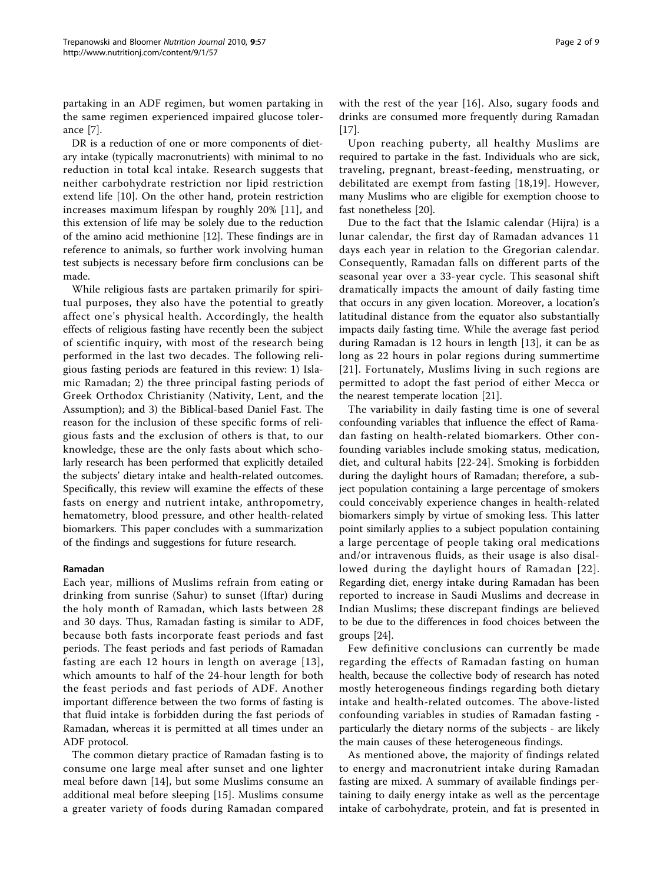partaking in an ADF regimen, but women partaking in the same regimen experienced impaired glucose tolerance [[7\]](#page-7-0).

DR is a reduction of one or more components of dietary intake (typically macronutrients) with minimal to no reduction in total kcal intake. Research suggests that neither carbohydrate restriction nor lipid restriction extend life [[10](#page-7-0)]. On the other hand, protein restriction increases maximum lifespan by roughly 20% [[11\]](#page-7-0), and this extension of life may be solely due to the reduction of the amino acid methionine [\[12](#page-7-0)]. These findings are in reference to animals, so further work involving human test subjects is necessary before firm conclusions can be made.

While religious fasts are partaken primarily for spiritual purposes, they also have the potential to greatly affect one's physical health. Accordingly, the health effects of religious fasting have recently been the subject of scientific inquiry, with most of the research being performed in the last two decades. The following religious fasting periods are featured in this review: 1) Islamic Ramadan; 2) the three principal fasting periods of Greek Orthodox Christianity (Nativity, Lent, and the Assumption); and 3) the Biblical-based Daniel Fast. The reason for the inclusion of these specific forms of religious fasts and the exclusion of others is that, to our knowledge, these are the only fasts about which scholarly research has been performed that explicitly detailed the subjects' dietary intake and health-related outcomes. Specifically, this review will examine the effects of these fasts on energy and nutrient intake, anthropometry, hematometry, blood pressure, and other health-related biomarkers. This paper concludes with a summarization of the findings and suggestions for future research.

## Ramadan

Each year, millions of Muslims refrain from eating or drinking from sunrise (Sahur) to sunset (Iftar) during the holy month of Ramadan, which lasts between 28 and 30 days. Thus, Ramadan fasting is similar to ADF, because both fasts incorporate feast periods and fast periods. The feast periods and fast periods of Ramadan fasting are each 12 hours in length on average [[13\]](#page-7-0), which amounts to half of the 24-hour length for both the feast periods and fast periods of ADF. Another important difference between the two forms of fasting is that fluid intake is forbidden during the fast periods of Ramadan, whereas it is permitted at all times under an ADF protocol.

The common dietary practice of Ramadan fasting is to consume one large meal after sunset and one lighter meal before dawn [[14\]](#page-7-0), but some Muslims consume an additional meal before sleeping [[15](#page-7-0)]. Muslims consume a greater variety of foods during Ramadan compared with the rest of the year [[16](#page-7-0)]. Also, sugary foods and drinks are consumed more frequently during Ramadan [[17\]](#page-7-0).

Upon reaching puberty, all healthy Muslims are required to partake in the fast. Individuals who are sick, traveling, pregnant, breast-feeding, menstruating, or debilitated are exempt from fasting [[18](#page-7-0),[19\]](#page-7-0). However, many Muslims who are eligible for exemption choose to fast nonetheless [\[20\]](#page-7-0).

Due to the fact that the Islamic calendar (Hijra) is a lunar calendar, the first day of Ramadan advances 11 days each year in relation to the Gregorian calendar. Consequently, Ramadan falls on different parts of the seasonal year over a 33-year cycle. This seasonal shift dramatically impacts the amount of daily fasting time that occurs in any given location. Moreover, a location's latitudinal distance from the equator also substantially impacts daily fasting time. While the average fast period during Ramadan is 12 hours in length [\[13](#page-7-0)], it can be as long as 22 hours in polar regions during summertime [[21\]](#page-7-0). Fortunately, Muslims living in such regions are permitted to adopt the fast period of either Mecca or the nearest temperate location [\[21\]](#page-7-0).

The variability in daily fasting time is one of several confounding variables that influence the effect of Ramadan fasting on health-related biomarkers. Other confounding variables include smoking status, medication, diet, and cultural habits [[22](#page-7-0)-[24\]](#page-7-0). Smoking is forbidden during the daylight hours of Ramadan; therefore, a subject population containing a large percentage of smokers could conceivably experience changes in health-related biomarkers simply by virtue of smoking less. This latter point similarly applies to a subject population containing a large percentage of people taking oral medications and/or intravenous fluids, as their usage is also disallowed during the daylight hours of Ramadan [[22\]](#page-7-0). Regarding diet, energy intake during Ramadan has been reported to increase in Saudi Muslims and decrease in Indian Muslims; these discrepant findings are believed to be due to the differences in food choices between the groups [[24\]](#page-7-0).

Few definitive conclusions can currently be made regarding the effects of Ramadan fasting on human health, because the collective body of research has noted mostly heterogeneous findings regarding both dietary intake and health-related outcomes. The above-listed confounding variables in studies of Ramadan fasting particularly the dietary norms of the subjects - are likely the main causes of these heterogeneous findings.

As mentioned above, the majority of findings related to energy and macronutrient intake during Ramadan fasting are mixed. A summary of available findings pertaining to daily energy intake as well as the percentage intake of carbohydrate, protein, and fat is presented in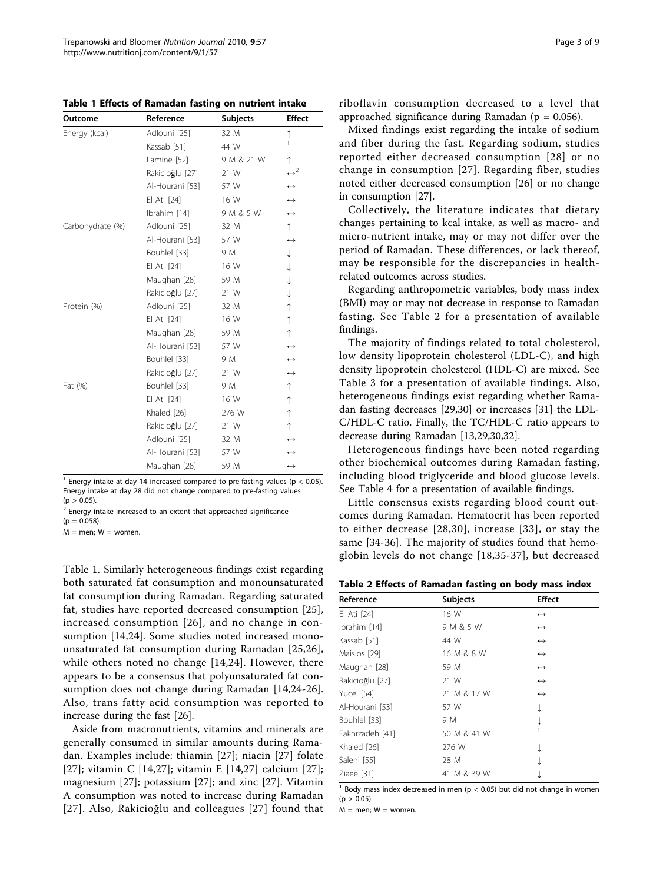| Outcome          | Reference       | Subjects   | <b>Effect</b>                  |
|------------------|-----------------|------------|--------------------------------|
| Energy (kcal)    | Adlouni [25]    | 32 M       | ↑                              |
|                  | Kassab [51]     | 44 W       | 1                              |
|                  | Lamine [52]     | 9 M & 21 W | ↑                              |
|                  | Rakicioğlu [27] | 21 W       | $\leftrightarrow$ <sup>2</sup> |
|                  | Al-Hourani [53] | 57 W       | $\leftrightarrow$              |
|                  | El Ati [24]     | 16 W       | $\leftrightarrow$              |
|                  | Ibrahim [14]    | 9 M & 5 W  | $\leftrightarrow$              |
| Carbohydrate (%) | Adlouni [25]    | 32 M       | ↑                              |
|                  | Al-Hourani [53] | 57 W       | $\leftrightarrow$              |
|                  | Bouhlel [33]    | 9 M        | ↓                              |
|                  | El Ati [24]     | 16 W       | ↓                              |
|                  | Maughan [28]    | 59 M       | ↓                              |
|                  | Rakicioğlu [27] | 21 W       | ↓                              |
| Protein (%)      | Adlouni [25]    | 32 M       | ↑                              |
|                  | El Ati [24]     | 16 W       | $\uparrow$                     |
|                  | Maughan [28]    | 59 M       | ↑                              |
|                  | Al-Hourani [53] | 57 W       | $\leftrightarrow$              |
|                  | Bouhlel [33]    | 9 M        | $\leftrightarrow$              |
|                  | Rakicioğlu [27] | 21 W       | $\leftrightarrow$              |
| Fat (%)          | Bouhlel [33]    | 9 M        | ↑                              |
|                  | El Ati [24]     | 16 W       | $\uparrow$                     |
|                  | Khaled [26]     | 276 W      | $\uparrow$                     |
|                  | Rakicioğlu [27] | 21 W       | $\uparrow$                     |
|                  | Adlouni [25]    | 32 M       | $\leftrightarrow$              |
|                  | Al-Hourani [53] | 57 W       | $\leftrightarrow$              |
|                  | Maughan [28]    | 59 M       | $\leftrightarrow$              |
|                  |                 |            |                                |

Table 1 Effects of Ramadan fasting on nutrient intake

<sup>1</sup> Energy intake at day 14 increased compared to pre-fasting values ( $p < 0.05$ ). Energy intake at day 28 did not change compared to pre-fasting values  $(p > 0.05)$ 

<sup>2</sup> Energy intake increased to an extent that approached significance

 $(p = 0.058)$ .

 $M =$  men;  $W =$  women.

Table 1. Similarly heterogeneous findings exist regarding both saturated fat consumption and monounsaturated fat consumption during Ramadan. Regarding saturated fat, studies have reported decreased consumption [[25](#page-7-0)], increased consumption [[26\]](#page-7-0), and no change in consumption [[14,24](#page-7-0)]. Some studies noted increased monounsaturated fat consumption during Ramadan [\[25](#page-7-0),[26](#page-7-0)], while others noted no change [[14,24](#page-7-0)]. However, there appears to be a consensus that polyunsaturated fat consumption does not change during Ramadan [[14,24](#page-7-0)-[26](#page-7-0)]. Also, trans fatty acid consumption was reported to increase during the fast [\[26](#page-7-0)].

Aside from macronutrients, vitamins and minerals are generally consumed in similar amounts during Ramadan. Examples include: thiamin [\[27](#page-7-0)]; niacin [[27](#page-7-0)] folate [[27](#page-7-0)]; vitamin C [[14,27](#page-7-0)]; vitamin E [[14,27\]](#page-7-0) calcium [[27](#page-7-0)]; magnesium [[27\]](#page-7-0); potassium [[27\]](#page-7-0); and zinc [[27](#page-7-0)]. Vitamin A consumption was noted to increase during Ramadan [[27\]](#page-7-0). Also, Rakicioğlu and colleagues [[27](#page-7-0)] found that

riboflavin consumption decreased to a level that approached significance during Ramadan ( $p = 0.056$ ).

Mixed findings exist regarding the intake of sodium and fiber during the fast. Regarding sodium, studies reported either decreased consumption [[28](#page-7-0)] or no change in consumption [[27](#page-7-0)]. Regarding fiber, studies noted either decreased consumption [[26](#page-7-0)] or no change in consumption [[27](#page-7-0)].

Collectively, the literature indicates that dietary changes pertaining to kcal intake, as well as macro- and micro-nutrient intake, may or may not differ over the period of Ramadan. These differences, or lack thereof, may be responsible for the discrepancies in healthrelated outcomes across studies.

Regarding anthropometric variables, body mass index (BMI) may or may not decrease in response to Ramadan fasting. See Table 2 for a presentation of available findings.

The majority of findings related to total cholesterol, low density lipoprotein cholesterol (LDL-C), and high density lipoprotein cholesterol (HDL-C) are mixed. See Table [3](#page-3-0) for a presentation of available findings. Also, heterogeneous findings exist regarding whether Ramadan fasting decreases [\[29,30](#page-7-0)] or increases [[31\]](#page-7-0) the LDL-C/HDL-C ratio. Finally, the TC/HDL-C ratio appears to decrease during Ramadan [[13](#page-7-0),[29,30,32](#page-7-0)].

Heterogeneous findings have been noted regarding other biochemical outcomes during Ramadan fasting, including blood triglyceride and blood glucose levels. See Table [4](#page-3-0) for a presentation of available findings.

Little consensus exists regarding blood count outcomes during Ramadan. Hematocrit has been reported to either decrease [[28](#page-7-0),[30](#page-7-0)], increase [[33\]](#page-7-0), or stay the same [\[34](#page-7-0)-[36\]](#page-7-0). The majority of studies found that hemoglobin levels do not change [[18](#page-7-0),[35](#page-7-0)-[37](#page-7-0)], but decreased

Table 2 Effects of Ramadan fasting on body mass index

| Reference       | <b>Subjects</b> | <b>Effect</b>     |  |
|-----------------|-----------------|-------------------|--|
| El Ati [24]     | 16 W            | $\leftrightarrow$ |  |
| Ibrahim [14]    | 9 M & 5 W       | $\leftrightarrow$ |  |
| Kassab [51]     | 44 W            | $\leftrightarrow$ |  |
| Maislos [29]    | 16 M & 8 W      | $\leftrightarrow$ |  |
| Maughan [28]    | 59 M            | $\leftrightarrow$ |  |
| Rakicioğlu [27] | 21 W            | $\leftrightarrow$ |  |
| Yucel [54]      | 21 M & 17 W     | $\leftrightarrow$ |  |
| Al-Hourani [53] | 57 W            | ↓                 |  |
| Bouhlel [33]    | 9 M             |                   |  |
| Fakhrzadeh [41] | 50 M & 41 W     |                   |  |
| Khaled [26]     | 276 W           |                   |  |
| Salehi [55]     | 28 M            |                   |  |
| Ziaee [31]      | 41 M & 39 W     |                   |  |

 $1$  Body mass index decreased in men ( $p < 0.05$ ) but did not change in women  $(p > 0.05)$ .

 $M =$  men;  $W =$  women.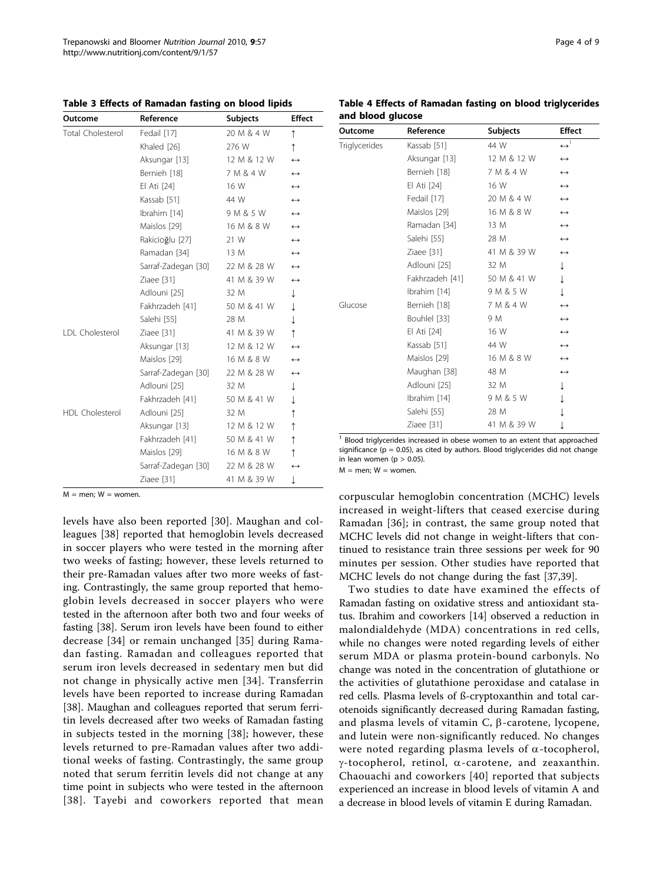<span id="page-3-0"></span>Table 3 Effects of Ramadan fasting on blood lipids

| Outcome                  | Reference           | <b>Subjects</b> | <b>Effect</b>     |
|--------------------------|---------------------|-----------------|-------------------|
| <b>Total Cholesterol</b> | Fedail [17]         | 20 M & 4 W      | $\uparrow$        |
|                          | Khaled [26]         | 276 W           | $\uparrow$        |
|                          | Aksungar [13]       | 12 M & 12 W     | $\leftrightarrow$ |
|                          | Bernieh [18]        | 7 M & 4 W       | $\leftrightarrow$ |
|                          | El Ati [24]         | 16 W            | $\leftrightarrow$ |
|                          | Kassab [51]         | 44 W            | $\leftrightarrow$ |
|                          | Ibrahim [14]        | 9 M & 5 W       | $\leftrightarrow$ |
|                          | Maislos [29]        | 16 M & 8 W      | $\leftrightarrow$ |
|                          | Rakicioğlu [27]     | 21 W            | $\leftrightarrow$ |
|                          | Ramadan [34]        | 13 M            | $\leftrightarrow$ |
|                          | Sarraf-Zadegan [30] | 22 M & 28 W     | $\leftrightarrow$ |
|                          | Ziaee [31]          | 41 M & 39 W     | $\leftrightarrow$ |
|                          | Adlouni [25]        | 32 M            | ↓                 |
|                          | Fakhrzadeh [41]     | 50 M & 41 W     | ↓                 |
|                          | Salehi [55]         | 28 M            | ↓                 |
| LDL Cholesterol          | Ziaee [31]          | 41 M & 39 W     | $\uparrow$        |
|                          | Aksungar [13]       | 12 M & 12 W     | $\leftrightarrow$ |
|                          | Maislos [29]        | 16 M & 8 W      | $\leftrightarrow$ |
|                          | Sarraf-Zadegan [30] | 22 M & 28 W     | $\leftrightarrow$ |
|                          | Adlouni [25]        | 32 M            | ↓                 |
|                          | Fakhrzadeh [41]     | 50 M & 41 W     | ↓                 |
| <b>HDL Cholesterol</b>   | Adlouni [25]        | 32 M            | $\uparrow$        |
|                          | Aksungar [13]       | 12 M & 12 W     | $\uparrow$        |
|                          | Fakhrzadeh [41]     | 50 M & 41 W     | ↑                 |
|                          | Maislos [29]        | 16 M & 8 W      | $\uparrow$        |
|                          | Sarraf-Zadegan [30] | 22 M & 28 W     | $\leftrightarrow$ |
|                          | Ziaee [31]          | 41 M & 39 W     | ↓                 |

 $M =$  men;  $W =$  women.

levels have also been reported [[30\]](#page-7-0). Maughan and colleagues [[38\]](#page-7-0) reported that hemoglobin levels decreased in soccer players who were tested in the morning after two weeks of fasting; however, these levels returned to their pre-Ramadan values after two more weeks of fasting. Contrastingly, the same group reported that hemoglobin levels decreased in soccer players who were tested in the afternoon after both two and four weeks of fasting [\[38\]](#page-7-0). Serum iron levels have been found to either decrease [\[34\]](#page-7-0) or remain unchanged [[35](#page-7-0)] during Ramadan fasting. Ramadan and colleagues reported that serum iron levels decreased in sedentary men but did not change in physically active men [\[34\]](#page-7-0). Transferrin levels have been reported to increase during Ramadan [[38\]](#page-7-0). Maughan and colleagues reported that serum ferritin levels decreased after two weeks of Ramadan fasting in subjects tested in the morning [[38\]](#page-7-0); however, these levels returned to pre-Ramadan values after two additional weeks of fasting. Contrastingly, the same group noted that serum ferritin levels did not change at any time point in subjects who were tested in the afternoon [[38](#page-7-0)]. Tayebi and coworkers reported that mean

Page 4 of 9

| Table 4 Effects of Ramadan fasting on blood triglycerides |  |  |  |  |
|-----------------------------------------------------------|--|--|--|--|
| and blood glucose                                         |  |  |  |  |

| Outcome       | Reference       | Subjects    | <b>Effect</b>                  |
|---------------|-----------------|-------------|--------------------------------|
| Triglycerides | Kassab [51]     | 44 W        | $\leftrightarrow$ <sup>1</sup> |
|               | Aksungar [13]   | 12 M & 12 W | $\leftrightarrow$              |
|               | Bernieh [18]    | 7 M & 4 W   | $\leftrightarrow$              |
|               | El Ati [24]     | 16 W        | $\leftrightarrow$              |
|               | Fedail [17]     | 20 M & 4 W  | $\leftrightarrow$              |
|               | Maislos [29]    | 16 M & 8 W  | $\longleftrightarrow$          |
|               | Ramadan [34]    | 13 M        | $\leftrightarrow$              |
|               | Salehi [55]     | 28 M        | $\leftrightarrow$              |
|               | Ziaee [31]      | 41 M & 39 W | $\leftrightarrow$              |
|               | Adlouni [25]    | 32 M        | $\downarrow$                   |
|               | Fakhrzadeh [41] | 50 M & 41 W | $\downarrow$                   |
|               | Ibrahim [14]    | 9 M & 5 W   | $\downarrow$                   |
| Glucose       | Bernieh [18]    | 7 M & 4 W   | $\leftrightarrow$              |
|               | Bouhlel [33]    | 9 M         | $\leftrightarrow$              |
|               | El Ati [24]     | 16 W        | $\leftrightarrow$              |
|               | Kassab [51]     | 44 W        | $\leftrightarrow$              |
|               | Maislos [29]    | 16 M & 8 W  | $\leftrightarrow$              |
|               | Maughan [38]    | 48 M        | $\leftrightarrow$              |
|               | Adlouni [25]    | 32 M        | ↓                              |
|               | Ibrahim [14]    | 9 M & 5 W   | ↓                              |
|               | Salehi [55]     | 28 M        | ↓                              |
|               | Ziaee [31]      | 41 M & 39 W | ↓                              |

<sup>1</sup> Blood triglycerides increased in obese women to an extent that approached significance ( $p = 0.05$ ), as cited by authors. Blood triglycerides did not change in lean women ( $p > 0.05$ ).

 $M =$  men;  $W =$  women.

corpuscular hemoglobin concentration (MCHC) levels increased in weight-lifters that ceased exercise during Ramadan [[36](#page-7-0)]; in contrast, the same group noted that MCHC levels did not change in weight-lifters that continued to resistance train three sessions per week for 90 minutes per session. Other studies have reported that MCHC levels do not change during the fast [[37,39](#page-7-0)].

Two studies to date have examined the effects of Ramadan fasting on oxidative stress and antioxidant status. Ibrahim and coworkers [[14\]](#page-7-0) observed a reduction in malondialdehyde (MDA) concentrations in red cells, while no changes were noted regarding levels of either serum MDA or plasma protein-bound carbonyls. No change was noted in the concentration of glutathione or the activities of glutathione peroxidase and catalase in red cells. Plasma levels of ß-cryptoxanthin and total carotenoids significantly decreased during Ramadan fasting, and plasma levels of vitamin  $C$ ,  $\beta$ -carotene, lycopene, and lutein were non-significantly reduced. No changes were noted regarding plasma levels of  $\alpha$ -tocopherol,  $\gamma$ -tocopherol, retinol,  $\alpha$ -carotene, and zeaxanthin. Chaouachi and coworkers [[40\]](#page-7-0) reported that subjects experienced an increase in blood levels of vitamin A and a decrease in blood levels of vitamin E during Ramadan.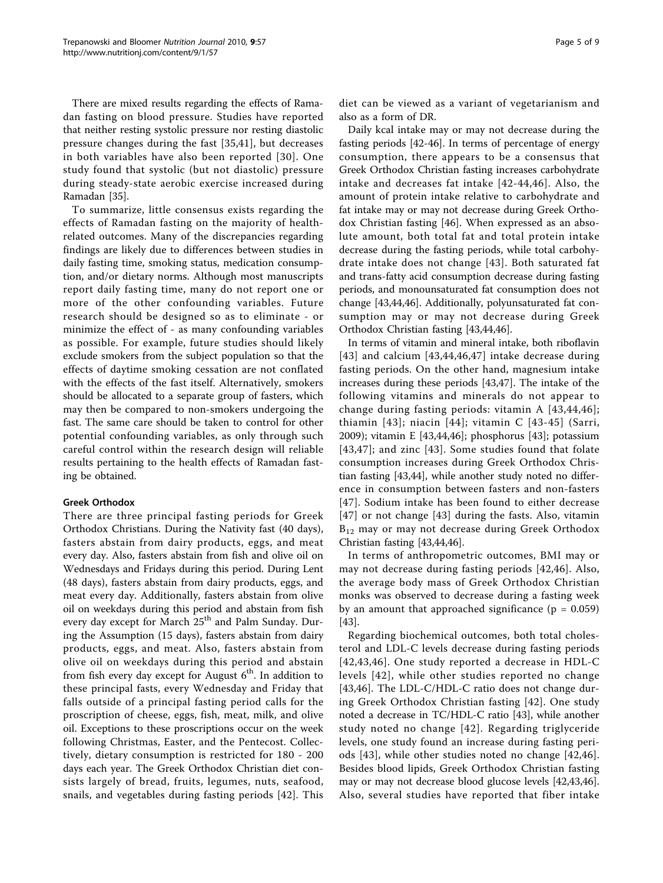There are mixed results regarding the effects of Ramadan fasting on blood pressure. Studies have reported that neither resting systolic pressure nor resting diastolic pressure changes during the fast [[35,41](#page-7-0)], but decreases in both variables have also been reported [[30](#page-7-0)]. One study found that systolic (but not diastolic) pressure during steady-state aerobic exercise increased during Ramadan [[35\]](#page-7-0).

To summarize, little consensus exists regarding the effects of Ramadan fasting on the majority of healthrelated outcomes. Many of the discrepancies regarding findings are likely due to differences between studies in daily fasting time, smoking status, medication consumption, and/or dietary norms. Although most manuscripts report daily fasting time, many do not report one or more of the other confounding variables. Future research should be designed so as to eliminate - or minimize the effect of - as many confounding variables as possible. For example, future studies should likely exclude smokers from the subject population so that the effects of daytime smoking cessation are not conflated with the effects of the fast itself. Alternatively, smokers should be allocated to a separate group of fasters, which may then be compared to non-smokers undergoing the fast. The same care should be taken to control for other potential confounding variables, as only through such careful control within the research design will reliable results pertaining to the health effects of Ramadan fasting be obtained.

# Greek Orthodox

There are three principal fasting periods for Greek Orthodox Christians. During the Nativity fast (40 days), fasters abstain from dairy products, eggs, and meat every day. Also, fasters abstain from fish and olive oil on Wednesdays and Fridays during this period. During Lent (48 days), fasters abstain from dairy products, eggs, and meat every day. Additionally, fasters abstain from olive oil on weekdays during this period and abstain from fish every day except for March  $25<sup>th</sup>$  and Palm Sunday. During the Assumption (15 days), fasters abstain from dairy products, eggs, and meat. Also, fasters abstain from olive oil on weekdays during this period and abstain from fish every day except for August  $6<sup>th</sup>$ . In addition to these principal fasts, every Wednesday and Friday that falls outside of a principal fasting period calls for the proscription of cheese, eggs, fish, meat, milk, and olive oil. Exceptions to these proscriptions occur on the week following Christmas, Easter, and the Pentecost. Collectively, dietary consumption is restricted for 180 - 200 days each year. The Greek Orthodox Christian diet consists largely of bread, fruits, legumes, nuts, seafood, snails, and vegetables during fasting periods [[42\]](#page-7-0). This diet can be viewed as a variant of vegetarianism and also as a form of DR.

Daily kcal intake may or may not decrease during the fasting periods [\[42](#page-7-0)-[46\]](#page-7-0). In terms of percentage of energy consumption, there appears to be a consensus that Greek Orthodox Christian fasting increases carbohydrate intake and decreases fat intake [[42](#page-7-0)-[44,46](#page-7-0)]. Also, the amount of protein intake relative to carbohydrate and fat intake may or may not decrease during Greek Orthodox Christian fasting [[46](#page-7-0)]. When expressed as an absolute amount, both total fat and total protein intake decrease during the fasting periods, while total carbohydrate intake does not change [[43](#page-7-0)]. Both saturated fat and trans-fatty acid consumption decrease during fasting periods, and monounsaturated fat consumption does not change [[43,44,46](#page-7-0)]. Additionally, polyunsaturated fat consumption may or may not decrease during Greek Orthodox Christian fasting [[43,44,46](#page-7-0)].

In terms of vitamin and mineral intake, both riboflavin [[43](#page-7-0)] and calcium [43,[44](#page-7-0),[46,47\]](#page-7-0) intake decrease during fasting periods. On the other hand, magnesium intake increases during these periods [\[43,47\]](#page-7-0). The intake of the following vitamins and minerals do not appear to change during fasting periods: vitamin A [[43,44,46\]](#page-7-0); thiamin [[43](#page-7-0)]; niacin [[44](#page-7-0)]; vitamin C [[43-45](#page-7-0)] (Sarri, 2009); vitamin E [[43,44,46](#page-7-0)]; phosphorus [[43\]](#page-7-0); potassium [[43,47](#page-7-0)]; and zinc [[43](#page-7-0)]. Some studies found that folate consumption increases during Greek Orthodox Christian fasting [\[43,44\]](#page-7-0), while another study noted no difference in consumption between fasters and non-fasters [[47](#page-7-0)]. Sodium intake has been found to either decrease [[47](#page-7-0)] or not change [[43](#page-7-0)] during the fasts. Also, vitamin  $B_{12}$  may or may not decrease during Greek Orthodox Christian fasting [\[43,44,46\]](#page-7-0).

In terms of anthropometric outcomes, BMI may or may not decrease during fasting periods [[42](#page-7-0),[46\]](#page-7-0). Also, the average body mass of Greek Orthodox Christian monks was observed to decrease during a fasting week by an amount that approached significance  $(p = 0.059)$ [[43\]](#page-7-0).

Regarding biochemical outcomes, both total cholesterol and LDL-C levels decrease during fasting periods [[42,43,46\]](#page-7-0). One study reported a decrease in HDL-C levels [[42](#page-7-0)], while other studies reported no change [[43,46](#page-7-0)]. The LDL-C/HDL-C ratio does not change during Greek Orthodox Christian fasting [[42\]](#page-7-0). One study noted a decrease in TC/HDL-C ratio [[43\]](#page-7-0), while another study noted no change [[42](#page-7-0)]. Regarding triglyceride levels, one study found an increase during fasting periods [\[43\]](#page-7-0), while other studies noted no change [\[42](#page-7-0),[46](#page-7-0)]. Besides blood lipids, Greek Orthodox Christian fasting may or may not decrease blood glucose levels [[42](#page-7-0),[43](#page-7-0),[46](#page-7-0)]. Also, several studies have reported that fiber intake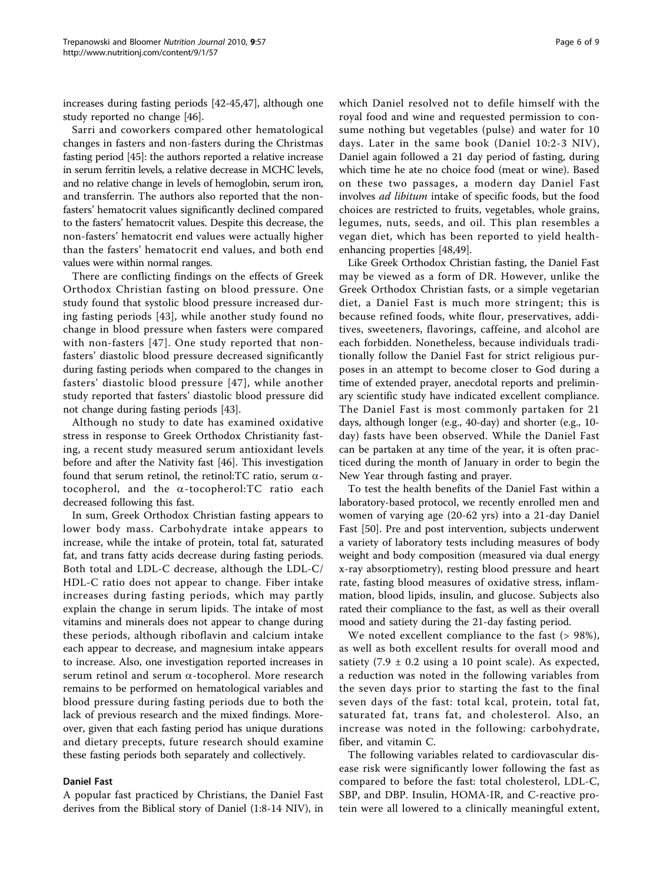increases during fasting periods [\[42-45,47](#page-7-0)], although one study reported no change [\[46](#page-7-0)].

Sarri and coworkers compared other hematological changes in fasters and non-fasters during the Christmas fasting period [\[45\]](#page-7-0): the authors reported a relative increase in serum ferritin levels, a relative decrease in MCHC levels, and no relative change in levels of hemoglobin, serum iron, and transferrin. The authors also reported that the nonfasters' hematocrit values significantly declined compared to the fasters' hematocrit values. Despite this decrease, the non-fasters' hematocrit end values were actually higher than the fasters' hematocrit end values, and both end values were within normal ranges.

There are conflicting findings on the effects of Greek Orthodox Christian fasting on blood pressure. One study found that systolic blood pressure increased during fasting periods [\[43\]](#page-7-0), while another study found no change in blood pressure when fasters were compared with non-fasters [[47](#page-7-0)]. One study reported that nonfasters' diastolic blood pressure decreased significantly during fasting periods when compared to the changes in fasters' diastolic blood pressure [[47\]](#page-7-0), while another study reported that fasters' diastolic blood pressure did not change during fasting periods [\[43](#page-7-0)].

Although no study to date has examined oxidative stress in response to Greek Orthodox Christianity fasting, a recent study measured serum antioxidant levels before and after the Nativity fast [[46](#page-7-0)]. This investigation found that serum retinol, the retinol: TC ratio, serum  $\alpha$ tocopherol, and the a-tocopherol:TC ratio each decreased following this fast.

In sum, Greek Orthodox Christian fasting appears to lower body mass. Carbohydrate intake appears to increase, while the intake of protein, total fat, saturated fat, and trans fatty acids decrease during fasting periods. Both total and LDL-C decrease, although the LDL-C/ HDL-C ratio does not appear to change. Fiber intake increases during fasting periods, which may partly explain the change in serum lipids. The intake of most vitamins and minerals does not appear to change during these periods, although riboflavin and calcium intake each appear to decrease, and magnesium intake appears to increase. Also, one investigation reported increases in serum retinol and serum  $\alpha$ -tocopherol. More research remains to be performed on hematological variables and blood pressure during fasting periods due to both the lack of previous research and the mixed findings. Moreover, given that each fasting period has unique durations and dietary precepts, future research should examine these fasting periods both separately and collectively.

## Daniel Fast

A popular fast practiced by Christians, the Daniel Fast derives from the Biblical story of Daniel (1:8-14 NIV), in which Daniel resolved not to defile himself with the royal food and wine and requested permission to consume nothing but vegetables (pulse) and water for 10 days. Later in the same book (Daniel 10:2-3 NIV), Daniel again followed a 21 day period of fasting, during which time he ate no choice food (meat or wine). Based on these two passages, a modern day Daniel Fast involves ad libitum intake of specific foods, but the food choices are restricted to fruits, vegetables, whole grains, legumes, nuts, seeds, and oil. This plan resembles a vegan diet, which has been reported to yield healthenhancing properties [\[48,49\]](#page-7-0).

Like Greek Orthodox Christian fasting, the Daniel Fast may be viewed as a form of DR. However, unlike the Greek Orthodox Christian fasts, or a simple vegetarian diet, a Daniel Fast is much more stringent; this is because refined foods, white flour, preservatives, additives, sweeteners, flavorings, caffeine, and alcohol are each forbidden. Nonetheless, because individuals traditionally follow the Daniel Fast for strict religious purposes in an attempt to become closer to God during a time of extended prayer, anecdotal reports and preliminary scientific study have indicated excellent compliance. The Daniel Fast is most commonly partaken for 21 days, although longer (e.g., 40-day) and shorter (e.g., 10 day) fasts have been observed. While the Daniel Fast can be partaken at any time of the year, it is often practiced during the month of January in order to begin the New Year through fasting and prayer.

To test the health benefits of the Daniel Fast within a laboratory-based protocol, we recently enrolled men and women of varying age (20-62 yrs) into a 21-day Daniel Fast [[50\]](#page-7-0). Pre and post intervention, subjects underwent a variety of laboratory tests including measures of body weight and body composition (measured via dual energy x-ray absorptiometry), resting blood pressure and heart rate, fasting blood measures of oxidative stress, inflammation, blood lipids, insulin, and glucose. Subjects also rated their compliance to the fast, as well as their overall mood and satiety during the 21-day fasting period.

We noted excellent compliance to the fast (> 98%), as well as both excellent results for overall mood and satiety  $(7.9 \pm 0.2 \text{ using a 10 point scale})$ . As expected, a reduction was noted in the following variables from the seven days prior to starting the fast to the final seven days of the fast: total kcal, protein, total fat, saturated fat, trans fat, and cholesterol. Also, an increase was noted in the following: carbohydrate, fiber, and vitamin C.

The following variables related to cardiovascular disease risk were significantly lower following the fast as compared to before the fast: total cholesterol, LDL-C, SBP, and DBP. Insulin, HOMA-IR, and C-reactive protein were all lowered to a clinically meaningful extent,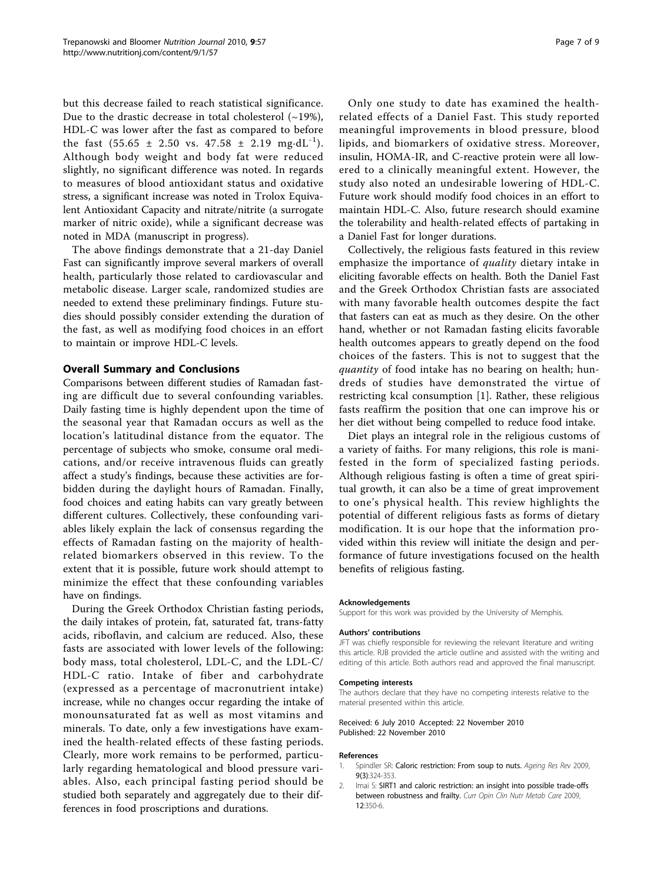<span id="page-6-0"></span>but this decrease failed to reach statistical significance. Due to the drastic decrease in total cholesterol  $(-19\%),$ HDL-C was lower after the fast as compared to before the fast  $(55.65 \pm 2.50 \text{ vs. } 47.58 \pm 2.19 \text{ mg} \cdot dL^{-1})$ . Although body weight and body fat were reduced slightly, no significant difference was noted. In regards to measures of blood antioxidant status and oxidative stress, a significant increase was noted in Trolox Equivalent Antioxidant Capacity and nitrate/nitrite (a surrogate marker of nitric oxide), while a significant decrease was noted in MDA (manuscript in progress).

The above findings demonstrate that a 21-day Daniel Fast can significantly improve several markers of overall health, particularly those related to cardiovascular and metabolic disease. Larger scale, randomized studies are needed to extend these preliminary findings. Future studies should possibly consider extending the duration of the fast, as well as modifying food choices in an effort to maintain or improve HDL-C levels.

## Overall Summary and Conclusions

Comparisons between different studies of Ramadan fasting are difficult due to several confounding variables. Daily fasting time is highly dependent upon the time of the seasonal year that Ramadan occurs as well as the location's latitudinal distance from the equator. The percentage of subjects who smoke, consume oral medications, and/or receive intravenous fluids can greatly affect a study's findings, because these activities are forbidden during the daylight hours of Ramadan. Finally, food choices and eating habits can vary greatly between different cultures. Collectively, these confounding variables likely explain the lack of consensus regarding the effects of Ramadan fasting on the majority of healthrelated biomarkers observed in this review. To the extent that it is possible, future work should attempt to minimize the effect that these confounding variables have on findings.

During the Greek Orthodox Christian fasting periods, the daily intakes of protein, fat, saturated fat, trans-fatty acids, riboflavin, and calcium are reduced. Also, these fasts are associated with lower levels of the following: body mass, total cholesterol, LDL-C, and the LDL-C/ HDL-C ratio. Intake of fiber and carbohydrate (expressed as a percentage of macronutrient intake) increase, while no changes occur regarding the intake of monounsaturated fat as well as most vitamins and minerals. To date, only a few investigations have examined the health-related effects of these fasting periods. Clearly, more work remains to be performed, particularly regarding hematological and blood pressure variables. Also, each principal fasting period should be studied both separately and aggregately due to their differences in food proscriptions and durations.

Only one study to date has examined the healthrelated effects of a Daniel Fast. This study reported meaningful improvements in blood pressure, blood lipids, and biomarkers of oxidative stress. Moreover, insulin, HOMA-IR, and C-reactive protein were all lowered to a clinically meaningful extent. However, the study also noted an undesirable lowering of HDL-C. Future work should modify food choices in an effort to maintain HDL-C. Also, future research should examine the tolerability and health-related effects of partaking in a Daniel Fast for longer durations.

Collectively, the religious fasts featured in this review emphasize the importance of *quality* dietary intake in eliciting favorable effects on health. Both the Daniel Fast and the Greek Orthodox Christian fasts are associated with many favorable health outcomes despite the fact that fasters can eat as much as they desire. On the other hand, whether or not Ramadan fasting elicits favorable health outcomes appears to greatly depend on the food choices of the fasters. This is not to suggest that the quantity of food intake has no bearing on health; hundreds of studies have demonstrated the virtue of restricting kcal consumption [1]. Rather, these religious fasts reaffirm the position that one can improve his or her diet without being compelled to reduce food intake.

Diet plays an integral role in the religious customs of a variety of faiths. For many religions, this role is manifested in the form of specialized fasting periods. Although religious fasting is often a time of great spiritual growth, it can also be a time of great improvement to one's physical health. This review highlights the potential of different religious fasts as forms of dietary modification. It is our hope that the information provided within this review will initiate the design and performance of future investigations focused on the health benefits of religious fasting.

#### Acknowledgements

Support for this work was provided by the University of Memphis.

#### Authors' contributions

JFT was chiefly responsible for reviewing the relevant literature and writing this article. RJB provided the article outline and assisted with the writing and editing of this article. Both authors read and approved the final manuscript.

#### Competing interests

The authors declare that they have no competing interests relative to the material presented within this article.

#### Received: 6 July 2010 Accepted: 22 November 2010 Published: 22 November 2010

#### References

- 1. Spindler SR: [Caloric restriction: From soup to nuts.](http://www.ncbi.nlm.nih.gov/pubmed/19853062?dopt=Abstract) Ageing Res Rev 2009, 9(3):324-353.
- 2. Imai S: [SIRT1 and caloric restriction: an insight into possible trade-offs](http://www.ncbi.nlm.nih.gov/pubmed/19474721?dopt=Abstract) [between robustness and frailty.](http://www.ncbi.nlm.nih.gov/pubmed/19474721?dopt=Abstract) Curr Opin Clin Nutr Metab Care 2009, 12:350-6.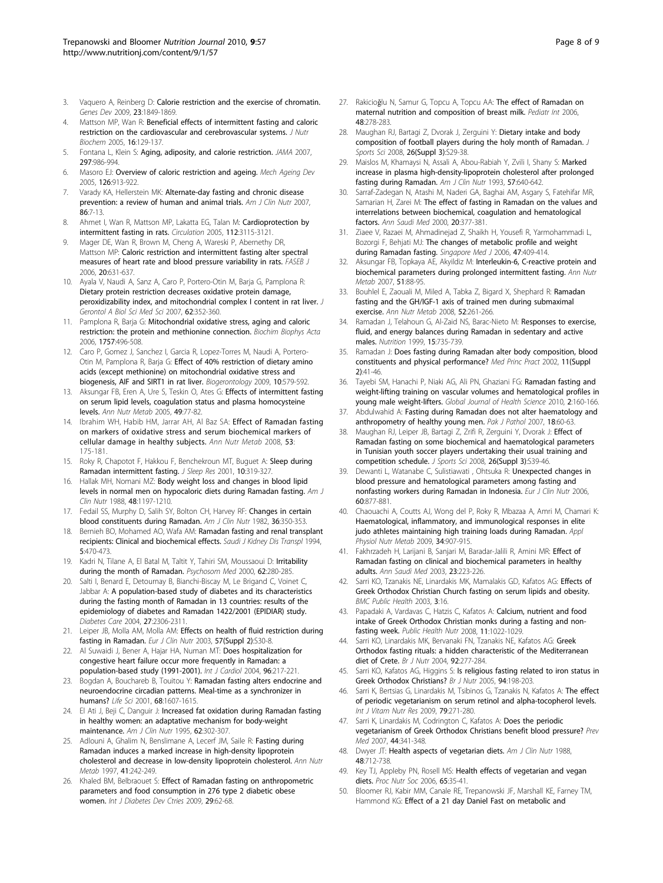- <span id="page-7-0"></span>3. Vaquero A, Reinberg D: [Calorie restriction and the exercise of chromatin.](http://www.ncbi.nlm.nih.gov/pubmed/19608767?dopt=Abstract) Genes Dev 2009, 23:1849-1869.
- 4. Mattson MP, Wan R: [Beneficial effects of intermittent fasting and caloric](http://www.ncbi.nlm.nih.gov/pubmed/15741046?dopt=Abstract) [restriction on the cardiovascular and cerebrovascular systems.](http://www.ncbi.nlm.nih.gov/pubmed/15741046?dopt=Abstract) J Nutr Biochem 2005, 16:129-137.
- 5. Fontana L, Klein S: [Aging, adiposity, and calorie restriction.](http://www.ncbi.nlm.nih.gov/pubmed/17341713?dopt=Abstract) JAMA 2007, 297:986-994.
- 6. Masoro EJ: [Overview of caloric restriction and ageing.](http://www.ncbi.nlm.nih.gov/pubmed/15885745?dopt=Abstract) Mech Ageing Dev 2005, 126:913-922.
- 7. Varady KA, Hellerstein MK: [Alternate-day fasting and chronic disease](http://www.ncbi.nlm.nih.gov/pubmed/17616757?dopt=Abstract) [prevention: a review of human and animal trials.](http://www.ncbi.nlm.nih.gov/pubmed/17616757?dopt=Abstract) Am J Clin Nutr 2007, 86:7-13.
- 8. Ahmet I, Wan R, Mattson MP, Lakatta EG, Talan M: [Cardioprotection by](http://www.ncbi.nlm.nih.gov/pubmed/16275865?dopt=Abstract) [intermittent fasting in rats.](http://www.ncbi.nlm.nih.gov/pubmed/16275865?dopt=Abstract) Circulation 2005, 112:3115-3121.
- 9. Mager DE, Wan R, Brown M, Cheng A, Wareski P, Abernethy DR, Mattson MP: [Caloric restriction and intermittent fasting alter spectral](http://www.ncbi.nlm.nih.gov/pubmed/16581971?dopt=Abstract) [measures of heart rate and blood pressure variability in rats.](http://www.ncbi.nlm.nih.gov/pubmed/16581971?dopt=Abstract) FASEB J 2006, 20:631-637.
- 10. Ayala V, Naudi A, Sanz A, Caro P, Portero-Otin M, Barja G, Pamplona R: [Dietary protein restriction decreases oxidative protein damage,](http://www.ncbi.nlm.nih.gov/pubmed/17452727?dopt=Abstract) [peroxidizability index, and mitochondrial complex I content in rat liver.](http://www.ncbi.nlm.nih.gov/pubmed/17452727?dopt=Abstract) J Gerontol A Biol Sci Med Sci 2007, 62:352-360.
- 11. Pamplona R, Barja G: [Mitochondrial oxidative stress, aging and caloric](http://www.ncbi.nlm.nih.gov/pubmed/16574059?dopt=Abstract) [restriction: the protein and methionine connection.](http://www.ncbi.nlm.nih.gov/pubmed/16574059?dopt=Abstract) Biochim Biophys Acta 2006, 1757:496-508.
- 12. Caro P, Gomez J, Sanchez I, Garcia R, Lopez-Torres M, Naudi A, Portero-Otin M, Pamplona R, Barja G: [Effect of 40% restriction of dietary amino](http://www.ncbi.nlm.nih.gov/pubmed/19039676?dopt=Abstract) [acids \(except methionine\) on mitochondrial oxidative stress and](http://www.ncbi.nlm.nih.gov/pubmed/19039676?dopt=Abstract) [biogenesis, AIF and SIRT1 in rat liver.](http://www.ncbi.nlm.nih.gov/pubmed/19039676?dopt=Abstract) Biogerontology 2009, 10:579-592.
- 13. Aksungar FB, Eren A, Ure S, Teskin O, Ates G: [Effects of intermittent fasting](http://www.ncbi.nlm.nih.gov/pubmed/15802901?dopt=Abstract) [on serum lipid levels, coagulation status and plasma homocysteine](http://www.ncbi.nlm.nih.gov/pubmed/15802901?dopt=Abstract) [levels.](http://www.ncbi.nlm.nih.gov/pubmed/15802901?dopt=Abstract) Ann Nutr Metab 2005, 49:77-82.
- 14. Ibrahim WH, Habib HM, Jarrar AH, Al Baz SA: [Effect of Ramadan fasting](http://www.ncbi.nlm.nih.gov/pubmed/19011280?dopt=Abstract) [on markers of oxidative stress and serum biochemical markers of](http://www.ncbi.nlm.nih.gov/pubmed/19011280?dopt=Abstract) [cellular damage in healthy subjects.](http://www.ncbi.nlm.nih.gov/pubmed/19011280?dopt=Abstract) Ann Nutr Metab 2008, 53: 175-181.
- 15. Roky R, Chapotot F, Hakkou F, Benchekroun MT, Buguet A: [Sleep during](http://www.ncbi.nlm.nih.gov/pubmed/11903862?dopt=Abstract) [Ramadan intermittent fasting.](http://www.ncbi.nlm.nih.gov/pubmed/11903862?dopt=Abstract) J Sleep Res 2001, 10:319-327.
- 16. Hallak MH, Nomani MZ: [Body weight loss and changes in blood lipid](http://www.ncbi.nlm.nih.gov/pubmed/3189206?dopt=Abstract) [levels in normal men on hypocaloric diets during Ramadan fasting.](http://www.ncbi.nlm.nih.gov/pubmed/3189206?dopt=Abstract) Am J Clin Nutr 1988, 48:1197-1210.
- 17. Fedail SS, Murphy D, Salih SY, Bolton CH, Harvey RF: [Changes in certain](http://www.ncbi.nlm.nih.gov/pubmed/7048891?dopt=Abstract) [blood constituents during Ramadan.](http://www.ncbi.nlm.nih.gov/pubmed/7048891?dopt=Abstract) Am J Clin Nutr 1982, 36:350-353.
- 18. Bernieh BO, Mohamed AO, Wafa AM: [Ramadan fasting and renal transplant](http://www.ncbi.nlm.nih.gov/pubmed/18583773?dopt=Abstract) [recipients: Clinical and biochemical effects.](http://www.ncbi.nlm.nih.gov/pubmed/18583773?dopt=Abstract) Saudi J Kidney Dis Transpl 1994, 5:470-473.
- 19. Kadri N, Tilane A, El Batal M, Taltit Y, Tahiri SM, Moussaoui D: [Irritability](http://www.ncbi.nlm.nih.gov/pubmed/10772409?dopt=Abstract) [during the month of Ramadan.](http://www.ncbi.nlm.nih.gov/pubmed/10772409?dopt=Abstract) Psychosom Med 2000, 62:280-285.
- 20. Salti I, Benard E, Detournay B, Bianchi-Biscay M, Le Brigand C, Voinet C, Jabbar A: [A population-based study of diabetes and its characteristics](http://www.ncbi.nlm.nih.gov/pubmed/15451892?dopt=Abstract) [during the fasting month of Ramadan in 13 countries: results of the](http://www.ncbi.nlm.nih.gov/pubmed/15451892?dopt=Abstract) [epidemiology of diabetes and Ramadan 1422/2001 \(EPIDIAR\) study.](http://www.ncbi.nlm.nih.gov/pubmed/15451892?dopt=Abstract) Diabetes Care 2004, 27:2306-2311.
- 21. Leiper JB, Molla AM, Molla AM: [Effects on health of fluid restriction during](http://www.ncbi.nlm.nih.gov/pubmed/14681711?dopt=Abstract) [fasting in Ramadan.](http://www.ncbi.nlm.nih.gov/pubmed/14681711?dopt=Abstract) Eur J Clin Nutr 2003, 57(Suppl 2):S30-8.
- 22. Al Suwaidi J, Bener A, Hajar HA, Numan MT: [Does hospitalization for](http://www.ncbi.nlm.nih.gov/pubmed/15262036?dopt=Abstract) [congestive heart failure occur more frequently in Ramadan: a](http://www.ncbi.nlm.nih.gov/pubmed/15262036?dopt=Abstract) [population-based study \(1991-2001\).](http://www.ncbi.nlm.nih.gov/pubmed/15262036?dopt=Abstract) Int J Cardiol 2004, 96:217-221.
- 23. Bogdan A, Bouchareb B, Touitou Y: [Ramadan fasting alters endocrine and](http://www.ncbi.nlm.nih.gov/pubmed/11263673?dopt=Abstract) [neuroendocrine circadian patterns. Meal-time as a synchronizer in](http://www.ncbi.nlm.nih.gov/pubmed/11263673?dopt=Abstract) [humans?](http://www.ncbi.nlm.nih.gov/pubmed/11263673?dopt=Abstract) Life Sci 2001, 68:1607-1615.
- 24. El Ati J, Beji C, Danguir J: [Increased fat oxidation during Ramadan fasting](http://www.ncbi.nlm.nih.gov/pubmed/7625336?dopt=Abstract) [in healthy women: an adaptative mechanism for body-weight](http://www.ncbi.nlm.nih.gov/pubmed/7625336?dopt=Abstract) [maintenance.](http://www.ncbi.nlm.nih.gov/pubmed/7625336?dopt=Abstract) Am J Clin Nutr 1995, 62:302-307.
- 25. Adlouni A, Ghalim N, Benslimane A, Lecerf JM, Saile R: [Fasting during](http://www.ncbi.nlm.nih.gov/pubmed/9363296?dopt=Abstract) [Ramadan induces a marked increase in high-density lipoprotein](http://www.ncbi.nlm.nih.gov/pubmed/9363296?dopt=Abstract) [cholesterol and decrease in low-density lipoprotein cholesterol.](http://www.ncbi.nlm.nih.gov/pubmed/9363296?dopt=Abstract) Ann Nutr Metab 1997, 41:242-249.
- 26. Khaled BM, Belbraouet S: [Effect of Ramadan fasting on anthropometric](http://www.ncbi.nlm.nih.gov/pubmed/20142870?dopt=Abstract) [parameters and food consumption in 276 type 2 diabetic obese](http://www.ncbi.nlm.nih.gov/pubmed/20142870?dopt=Abstract) [women.](http://www.ncbi.nlm.nih.gov/pubmed/20142870?dopt=Abstract) Int J Diabetes Dev Ctries 2009, 29:62-68.
- 27. Rakicioğlu N, Samur G, Topcu A, Topcu AA: [The effect of Ramadan on](http://www.ncbi.nlm.nih.gov/pubmed/16732795?dopt=Abstract) [maternal nutrition and composition of breast milk.](http://www.ncbi.nlm.nih.gov/pubmed/16732795?dopt=Abstract) Pediatr Int 2006, 48:278-283.
- 28. Maughan RJ, Bartagi Z, Dvorak J, Zerguini Y: [Dietary intake and body](http://www.ncbi.nlm.nih.gov/pubmed/19085450?dopt=Abstract) [composition of football players during the holy month of Ramadan.](http://www.ncbi.nlm.nih.gov/pubmed/19085450?dopt=Abstract) J Sports Sci 2008, 26(Suppl 3):S29-38.
- 29. Maislos M, Khamaysi N, Assali A, Abou-Rabiah Y, Zvili I, Shany S: [Marked](http://www.ncbi.nlm.nih.gov/pubmed/8480679?dopt=Abstract) [increase in plasma high-density-lipoprotein cholesterol after prolonged](http://www.ncbi.nlm.nih.gov/pubmed/8480679?dopt=Abstract) [fasting during Ramadan.](http://www.ncbi.nlm.nih.gov/pubmed/8480679?dopt=Abstract) Am J Clin Nutr 1993, 57:640-642.
- 30. Sarraf-Zadegan N, Atashi M, Naderi GA, Baghai AM, Asgary S, Fatehifar MR, Samarian H, Zarei M: [The effect of fasting in Ramadan on the values and](http://www.ncbi.nlm.nih.gov/pubmed/17264626?dopt=Abstract) [interrelations between biochemical, coagulation and hematological](http://www.ncbi.nlm.nih.gov/pubmed/17264626?dopt=Abstract) [factors.](http://www.ncbi.nlm.nih.gov/pubmed/17264626?dopt=Abstract) Ann Saudi Med 2000, 20:377-381.
- 31. Ziaee V, Razaei M, Ahmadinejad Z, Shaikh H, Yousefi R, Yarmohammadi L, Bozorgi F, Behjati MJ: [The changes of metabolic profile and weight](http://www.ncbi.nlm.nih.gov/pubmed/16645692?dopt=Abstract) [during Ramadan fasting.](http://www.ncbi.nlm.nih.gov/pubmed/16645692?dopt=Abstract) Singapore Med J 2006, 47:409-414.
- 32. Aksungar FB, Topkaya AE, Akyildiz M: [Interleukin-6, C-reactive protein and](http://www.ncbi.nlm.nih.gov/pubmed/17374948?dopt=Abstract) [biochemical parameters during prolonged intermittent fasting.](http://www.ncbi.nlm.nih.gov/pubmed/17374948?dopt=Abstract) Ann Nutr Metab 2007, 51:88-95.
- 33. Bouhlel E, Zaouali M, Miled A, Tabka Z, Bigard X, Shephard R: [Ramadan](http://www.ncbi.nlm.nih.gov/pubmed/18617733?dopt=Abstract) [fasting and the GH/IGF-1 axis of trained men during submaximal](http://www.ncbi.nlm.nih.gov/pubmed/18617733?dopt=Abstract) [exercise.](http://www.ncbi.nlm.nih.gov/pubmed/18617733?dopt=Abstract) Ann Nutr Metab 2008, 52:261-266.
- 34. Ramadan J, Telahoun G, Al-Zaid NS, Barac-Nieto M: [Responses to exercise,](http://www.ncbi.nlm.nih.gov/pubmed/10501284?dopt=Abstract) [fluid, and energy balances during Ramadan in sedentary and active](http://www.ncbi.nlm.nih.gov/pubmed/10501284?dopt=Abstract) [males.](http://www.ncbi.nlm.nih.gov/pubmed/10501284?dopt=Abstract) Nutrition 1999, 15:735-739.
- 35. Ramadan J: [Does fasting during Ramadan alter body composition, blood](http://www.ncbi.nlm.nih.gov/pubmed/12444309?dopt=Abstract) [constituents and physical performance?](http://www.ncbi.nlm.nih.gov/pubmed/12444309?dopt=Abstract) Med Princ Pract 2002, 11(Suppl 2):41-46.
- Tayebi SM, Hanachi P, Niaki AG, Ali PN, Ghaziani FG: Ramadan fasting and weight-lifting training on vascular volumes and hematological profiles in young male weight-lifters. Global Journal of Health Science 2010, 2:160-166.
- Abdulwahid A: Fasting during Ramadan does not alter haematology and anthropometry of healthy young men. Pak J Pathol 2007, 18:60-63.
- 38. Maughan RJ, Leiper JB, Bartagi Z, Zrifi R, Zerguini Y, Dvorak J: [Effect of](http://www.ncbi.nlm.nih.gov/pubmed/19085451?dopt=Abstract) [Ramadan fasting on some biochemical and haematological parameters](http://www.ncbi.nlm.nih.gov/pubmed/19085451?dopt=Abstract) [in Tunisian youth soccer players undertaking their usual training and](http://www.ncbi.nlm.nih.gov/pubmed/19085451?dopt=Abstract) [competition schedule.](http://www.ncbi.nlm.nih.gov/pubmed/19085451?dopt=Abstract) J Sports Sci 2008, 26(Suppl 3):S39-46.
- 39. Dewanti L, Watanabe C, Sulistiawati , Ohtsuka R: [Unexpected changes in](http://www.ncbi.nlm.nih.gov/pubmed/16489329?dopt=Abstract) [blood pressure and hematological parameters among fasting and](http://www.ncbi.nlm.nih.gov/pubmed/16489329?dopt=Abstract) [nonfasting workers during Ramadan in Indonesia.](http://www.ncbi.nlm.nih.gov/pubmed/16489329?dopt=Abstract) Eur J Clin Nutr 2006, 60:877-881.
- 40. Chaouachi A, Coutts AJ, Wong del P, Roky R, Mbazaa A, Amri M, Chamari K: [Haematological, inflammatory, and immunological responses in elite](http://www.ncbi.nlm.nih.gov/pubmed/19935853?dopt=Abstract) [judo athletes maintaining high training loads during Ramadan.](http://www.ncbi.nlm.nih.gov/pubmed/19935853?dopt=Abstract) Appl Physiol Nutr Metab 2009, 34:907-915.
- 41. Fakhrzadeh H, Larijani B, Sanjari M, Baradar-Jalili R, Amini MR: [Effect of](http://www.ncbi.nlm.nih.gov/pubmed/16985327?dopt=Abstract) [Ramadan fasting on clinical and biochemical parameters in healthy](http://www.ncbi.nlm.nih.gov/pubmed/16985327?dopt=Abstract) [adults.](http://www.ncbi.nlm.nih.gov/pubmed/16985327?dopt=Abstract) Ann Saudi Med 2003, 23:223-226.
- 42. Sarri KO, Tzanakis NE, Linardakis MK, Mamalakis GD, Kafatos AG: [Effects of](http://www.ncbi.nlm.nih.gov/pubmed/12753698?dopt=Abstract) [Greek Orthodox Christian Church fasting on serum lipids and obesity.](http://www.ncbi.nlm.nih.gov/pubmed/12753698?dopt=Abstract) BMC Public Health 2003, 3:16.
- 43. Papadaki A, Vardavas C, Hatzis C, Kafatos A: [Calcium, nutrient and food](http://www.ncbi.nlm.nih.gov/pubmed/18093353?dopt=Abstract) [intake of Greek Orthodox Christian monks during a fasting and non](http://www.ncbi.nlm.nih.gov/pubmed/18093353?dopt=Abstract)[fasting week.](http://www.ncbi.nlm.nih.gov/pubmed/18093353?dopt=Abstract) Public Health Nutr 2008, 11:1022-1029.
- Sarri KO, Linardakis MK, Bervanaki FN, Tzanakis NE, Kafatos AG: [Greek](http://www.ncbi.nlm.nih.gov/pubmed/15333159?dopt=Abstract) [Orthodox fasting rituals: a hidden characteristic of the Mediterranean](http://www.ncbi.nlm.nih.gov/pubmed/15333159?dopt=Abstract) [diet of Crete.](http://www.ncbi.nlm.nih.gov/pubmed/15333159?dopt=Abstract) Br J Nutr 2004, 92:277-284.
- 45. Sarri KO, Kafatos AG, Higgins S: [Is religious fasting related to iron status in](http://www.ncbi.nlm.nih.gov/pubmed/16115353?dopt=Abstract) [Greek Orthodox Christians?](http://www.ncbi.nlm.nih.gov/pubmed/16115353?dopt=Abstract) Br J Nutr 2005, 94:198-203.
- 46. Sarri K, Bertsias G, Linardakis M, Tsibinos G, Tzanakis N, Kafatos A: [The effect](http://www.ncbi.nlm.nih.gov/pubmed/20533213?dopt=Abstract) [of periodic vegetarianism on serum retinol and alpha-tocopherol levels.](http://www.ncbi.nlm.nih.gov/pubmed/20533213?dopt=Abstract) Int J Vitam Nutr Res 2009, 79:271-280.
- 47. Sarri K, Linardakis M, Codrington C, Kafatos A: [Does the periodic](http://www.ncbi.nlm.nih.gov/pubmed/17184829?dopt=Abstract) [vegetarianism of Greek Orthodox Christians benefit blood pressure?](http://www.ncbi.nlm.nih.gov/pubmed/17184829?dopt=Abstract) Prev Med 2007, 44:341-348.
- 48. Dwyer JT: [Health aspects of vegetarian diets.](http://www.ncbi.nlm.nih.gov/pubmed/3046302?dopt=Abstract) Am J Clin Nutr 1988, 48:712-738.
- 49. Key TJ, Appleby PN, Rosell MS: [Health effects of vegetarian and vegan](http://www.ncbi.nlm.nih.gov/pubmed/16441942?dopt=Abstract) [diets.](http://www.ncbi.nlm.nih.gov/pubmed/16441942?dopt=Abstract) Proc Nutr Soc 2006, **65:**35-41.
- 50. Bloomer RJ, Kabir MM, Canale RE, Trepanowski JF, Marshall KE, Farney TM, Hammond KG: [Effect of a 21 day Daniel Fast on metabolic and](http://www.ncbi.nlm.nih.gov/pubmed/20815907?dopt=Abstract)